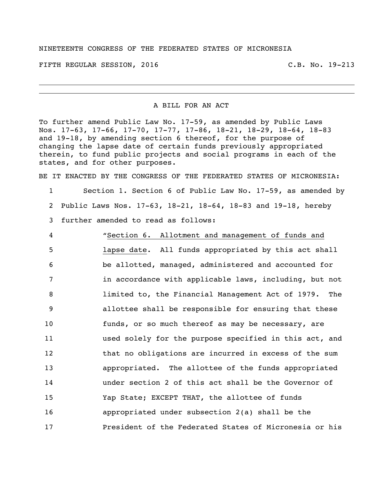## NINETEENTH CONGRESS OF THE FEDERATED STATES OF MICRONESIA

FIFTH REGULAR SESSION, 2016 C.B. No. 19-213

A BILL FOR AN ACT

To further amend Public Law No. 17-59, as amended by Public Laws Nos. 17-63, 17-66, 17-70, 17-77, 17-86, 18-21, 18-29, 18-64, 18-83 and 19-18, by amending section 6 thereof, for the purpose of changing the lapse date of certain funds previously appropriated therein, to fund public projects and social programs in each of the states, and for other purposes.

BE IT ENACTED BY THE CONGRESS OF THE FEDERATED STATES OF MICRONESIA:

 Section 1. Section 6 of Public Law No. 17-59, as amended by Public Laws Nos. 17-63, 18-21, 18-64, 18-83 and 19-18, hereby further amended to read as follows:

 "Section 6. Allotment and management of funds and lapse date. All funds appropriated by this act shall be allotted, managed, administered and accounted for in accordance with applicable laws, including, but not limited to, the Financial Management Act of 1979. The allottee shall be responsible for ensuring that these funds, or so much thereof as may be necessary, are used solely for the purpose specified in this act, and that no obligations are incurred in excess of the sum appropriated. The allottee of the funds appropriated under section 2 of this act shall be the Governor of Yap State; EXCEPT THAT, the allottee of funds appropriated under subsection 2(a) shall be the President of the Federated States of Micronesia or his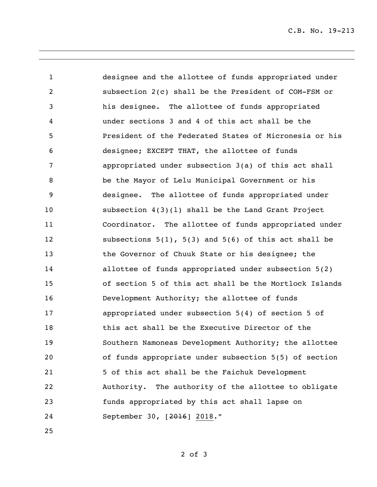C.B. No. 19-213

 designee and the allottee of funds appropriated under subsection 2(c) shall be the President of COM-FSM or his designee. The allottee of funds appropriated under sections 3 and 4 of this act shall be the President of the Federated States of Micronesia or his designee; EXCEPT THAT, the allottee of funds appropriated under subsection 3(a) of this act shall be the Mayor of Lelu Municipal Government or his designee. The allottee of funds appropriated under subsection 4(3)(l) shall be the Land Grant Project Coordinator. The allottee of funds appropriated under subsections 5(1), 5(3) and 5(6) of this act shall be the Governor of Chuuk State or his designee; the allottee of funds appropriated under subsection 5(2) of section 5 of this act shall be the Mortlock Islands Development Authority; the allottee of funds appropriated under subsection 5(4) of section 5 of this act shall be the Executive Director of the Southern Namoneas Development Authority; the allottee of funds appropriate under subsection 5(5) of section 5 of this act shall be the Faichuk Development Authority. The authority of the allottee to obligate funds appropriated by this act shall lapse on September 30, [2016] 2018."

of 3